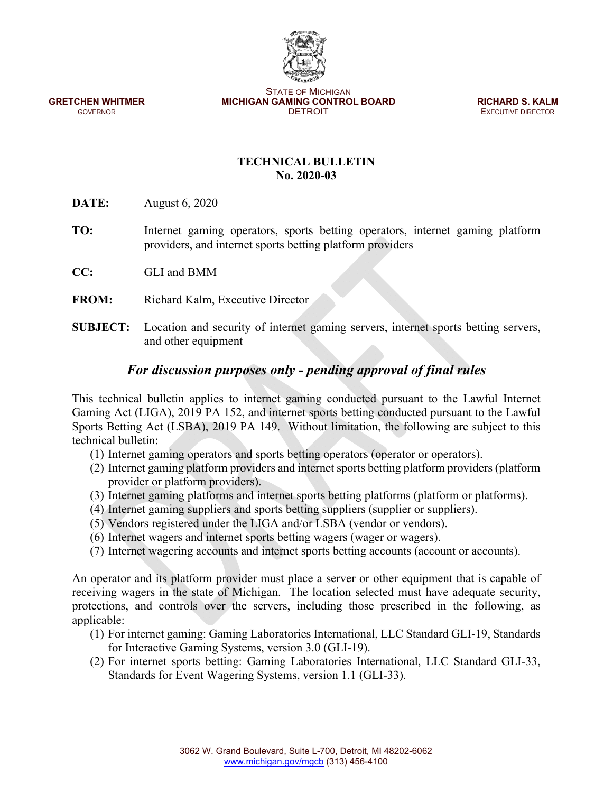STATE OF MICHIGAN **GRETCHEN WHITMER MICHIGAN GAMING CONTROL BOARD <b>RICHARD S. KALM GOVERNOR GOVERNOR CONTROL BOARD EXECUTIVE DIRECTOR** 

**EXECUTIVE DIRECTOR** 

## **TECHNICAL BULLETIN No. 2020-03**

**DATE:** August 6, 2020

- **TO:** Internet gaming operators, sports betting operators, internet gaming platform providers, and internet sports betting platform providers
- **CC:** GLI and BMM
- **FROM:** Richard Kalm, Executive Director
- **SUBJECT:** Location and security of internet gaming servers, internet sports betting servers, and other equipment

# *For discussion purposes only - pending approval of final rules*

This technical bulletin applies to internet gaming conducted pursuant to the Lawful Internet Gaming Act (LIGA), 2019 PA 152, and internet sports betting conducted pursuant to the Lawful Sports Betting Act (LSBA), 2019 PA 149. Without limitation, the following are subject to this technical bulletin:

- (1) Internet gaming operators and sports betting operators (operator or operators).
- (2) Internet gaming platform providers and internet sports betting platform providers (platform provider or platform providers).
- (3) Internet gaming platforms and internet sports betting platforms (platform or platforms).
- (4) Internet gaming suppliers and sports betting suppliers (supplier or suppliers).
- (5) Vendors registered under the LIGA and/or LSBA (vendor or vendors).
- (6) Internet wagers and internet sports betting wagers (wager or wagers).
- (7) Internet wagering accounts and internet sports betting accounts (account or accounts).

An operator and its platform provider must place a server or other equipment that is capable of receiving wagers in the state of Michigan. The location selected must have adequate security, protections, and controls over the servers, including those prescribed in the following, as applicable:

- (1) For internet gaming: Gaming Laboratories International, LLC Standard GLI-19, Standards for Interactive Gaming Systems, version 3.0 (GLI-19).
- (2) For internet sports betting: Gaming Laboratories International, LLC Standard GLI-33, Standards for Event Wagering Systems, version 1.1 (GLI-33).

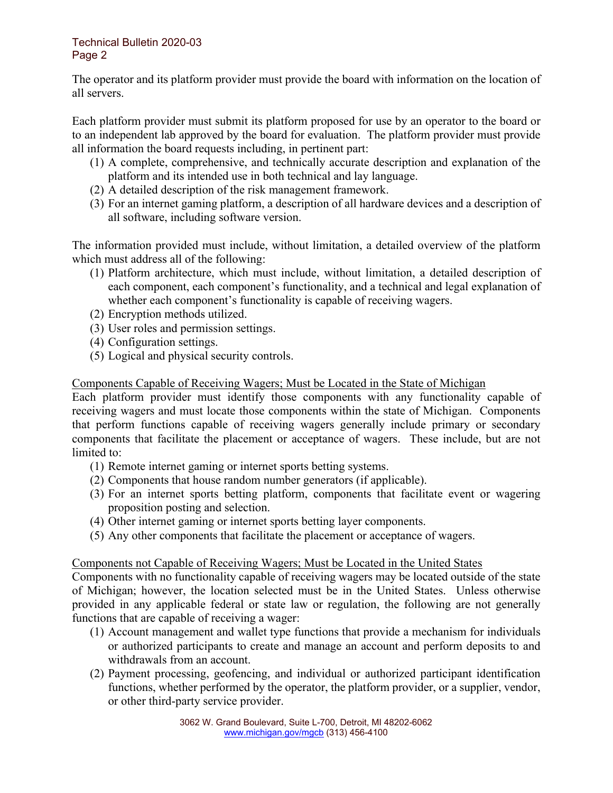#### Technical Bulletin 2020-03 Page 2

The operator and its platform provider must provide the board with information on the location of all servers.

Each platform provider must submit its platform proposed for use by an operator to the board or to an independent lab approved by the board for evaluation. The platform provider must provide all information the board requests including, in pertinent part:

- (1) A complete, comprehensive, and technically accurate description and explanation of the platform and its intended use in both technical and lay language.
- (2) A detailed description of the risk management framework.
- (3) For an internet gaming platform, a description of all hardware devices and a description of all software, including software version.

The information provided must include, without limitation, a detailed overview of the platform which must address all of the following:

- (1) Platform architecture, which must include, without limitation, a detailed description of each component, each component's functionality, and a technical and legal explanation of whether each component's functionality is capable of receiving wagers.
- (2) Encryption methods utilized.
- (3) User roles and permission settings.
- (4) Configuration settings.
- (5) Logical and physical security controls.

## Components Capable of Receiving Wagers; Must be Located in the State of Michigan

Each platform provider must identify those components with any functionality capable of receiving wagers and must locate those components within the state of Michigan. Components that perform functions capable of receiving wagers generally include primary or secondary components that facilitate the placement or acceptance of wagers. These include, but are not limited to:

- (1) Remote internet gaming or internet sports betting systems.
- (2) Components that house random number generators (if applicable).
- (3) For an internet sports betting platform, components that facilitate event or wagering proposition posting and selection.
- (4) Other internet gaming or internet sports betting layer components.
- (5) Any other components that facilitate the placement or acceptance of wagers.

## Components not Capable of Receiving Wagers; Must be Located in the United States

Components with no functionality capable of receiving wagers may be located outside of the state of Michigan; however, the location selected must be in the United States. Unless otherwise provided in any applicable federal or state law or regulation, the following are not generally functions that are capable of receiving a wager:

- (1) Account management and wallet type functions that provide a mechanism for individuals or authorized participants to create and manage an account and perform deposits to and withdrawals from an account.
- (2) Payment processing, geofencing, and individual or authorized participant identification functions, whether performed by the operator, the platform provider, or a supplier, vendor, or other third-party service provider.